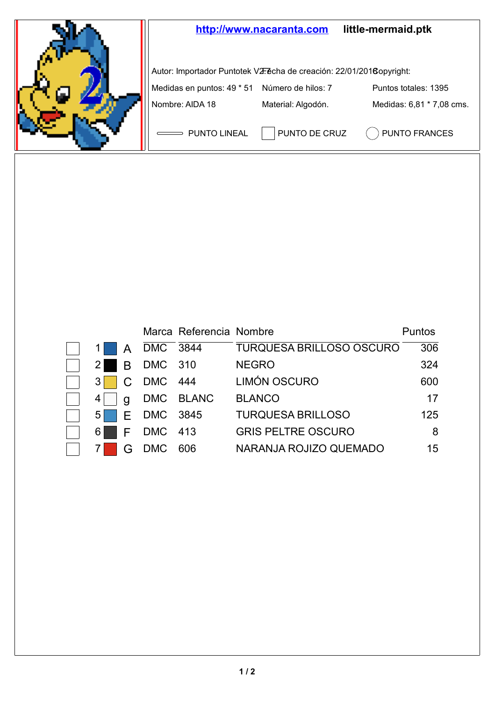

|                |                  |            | Marca Referencia Nombre |                                 | Puntos |
|----------------|------------------|------------|-------------------------|---------------------------------|--------|
|                | A                | DMC 3844   |                         | <b>TURQUESA BRILLOSO OSCURO</b> | 306    |
| 21             | $\blacksquare$ B | DMC 310    |                         | <b>NEGRO</b>                    | 324    |
| 3 <sup>1</sup> | $\cdot$ C        | DMC 444    |                         | LIMÓN OSCURO                    | 600    |
| 4              | a                |            | DMC BLANC               | <b>BLANCO</b>                   | 17     |
| $5 \mid$       |                  | E DMC 3845 |                         | <b>TURQUESA BRILLOSO</b>        | 125    |
| 61             | F.               | DMC 413    |                         | <b>GRIS PELTRE OSCURO</b>       | 8      |
|                | G                | <b>DMC</b> | 606                     | NARANJA ROJIZO QUEMADO          | 15     |